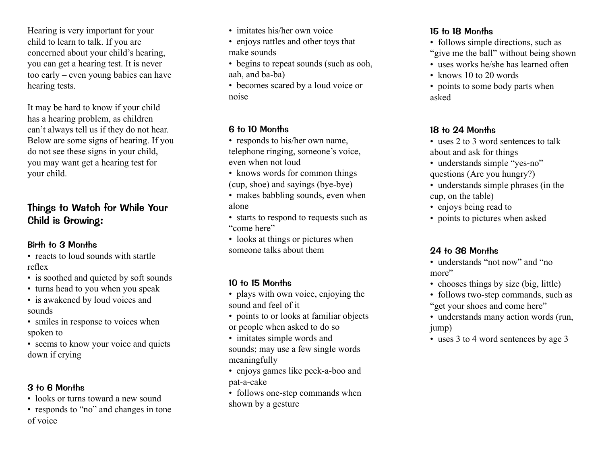Hearing is very important for your child to learn to talk. If you are concerned about your child's hearing, you can get a hearing test. It is never too early – even young babies can have hearing tests.

It may be hard to know if your child has a hearing problem, as children can't always tell us if they do not hear. Below are some signs of hearing. If you do not see these signs in your child, you may want get a hearing test for your child.

# Things to Watch for While Your Child is Growing:

## Birth to 3 Months

• reacts to loud sounds with startle reflex

- is soothed and quieted by soft sounds
- turns head to you when you speak
- is awakened by loud voices and sounds
- smiles in response to voices when spoken to
- seems to know your voice and quiets down if crying

#### 3 to 6 Months

- looks or turns toward a new sound
- responds to "no" and changes in tone of voice
- imitates his/her own voice
- enjoys rattles and other toys that make sounds
- begins to repeat sounds (such as ooh, aah, and ba-ba)
- becomes scared by a loud voice or noise

## 6 to 10 Months

- responds to his/her own name, telephone ringing, someone's voice, even when not loud
- knows words for common things (cup, shoe) and sayings (bye-bye)
- makes babbling sounds, even when alone
- starts to respond to requests such as "come here"
- looks at things or pictures when someone talks about them

## 10 to 15 Months

- plays with own voice, enjoying the sound and feel of it
- points to or looks at familiar objects or people when asked to do so
- imitates simple words and sounds; may use a few single words meaningfully
- enjoys games like peek-a-boo and pat-a-cake
- follows one-step commands when shown by a gesture

## 15 to 18 Months

- follows simple directions, such as "give me the ball" without being shown
- uses works he/she has learned often
- knows 10 to 20 words
- points to some body parts when asked

## 18 to 24 Months

- uses 2 to 3 word sentences to talk about and ask for things
- understands simple "yes-no" questions (Are you hungry?)
- understands simple phrases (in the cup, on the table)
- enjoys being read to
- points to pictures when asked

## 24 to 36 Months

- understands "not now" and "no more"
- chooses things by size (big, little)
- follows two-step commands, such as "get your shoes and come here"
- understands many action words (run, jump)
- uses 3 to 4 word sentences by age 3